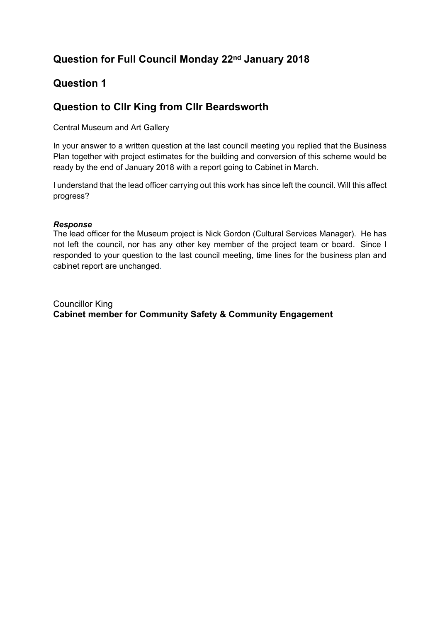## **Question 1**

# **Question to Cllr King from Cllr Beardsworth**

Central Museum and Art Gallery

In your answer to a written question at the last council meeting you replied that the Business Plan together with project estimates for the building and conversion of this scheme would be ready by the end of January 2018 with a report going to Cabinet in March.

I understand that the lead officer carrying out this work has since left the council. Will this affect progress?

#### *Response*

The lead officer for the Museum project is Nick Gordon (Cultural Services Manager). He has not left the council, nor has any other key member of the project team or board. Since I responded to your question to the last council meeting, time lines for the business plan and cabinet report are unchanged.

Councillor King **Cabinet member for Community Safety & Community Engagement**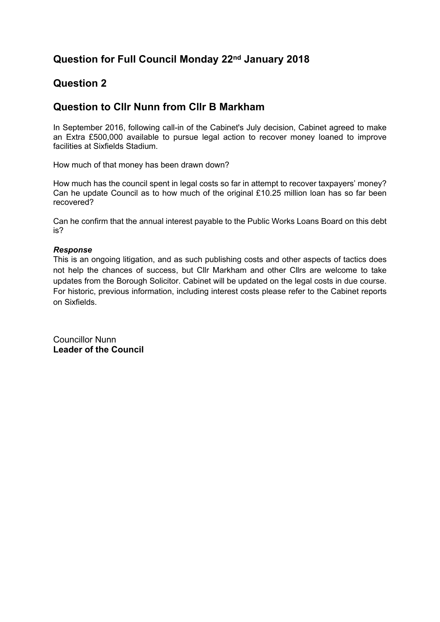### **Question 2**

#### **Question to Cllr Nunn from Cllr B Markham**

In September 2016, following call-in of the Cabinet's July decision, Cabinet agreed to make an Extra £500,000 available to pursue legal action to recover money loaned to improve facilities at Sixfields Stadium.

How much of that money has been drawn down?

How much has the council spent in legal costs so far in attempt to recover taxpayers' money? Can he update Council as to how much of the original £10.25 million loan has so far been recovered?

Can he confirm that the annual interest payable to the Public Works Loans Board on this debt is?

#### *Response*

This is an ongoing litigation, and as such publishing costs and other aspects of tactics does not help the chances of success, but Cllr Markham and other Cllrs are welcome to take updates from the Borough Solicitor. Cabinet will be updated on the legal costs in due course. For historic, previous information, including interest costs please refer to the Cabinet reports on Sixfields.

Councillor Nunn **Leader of the Council**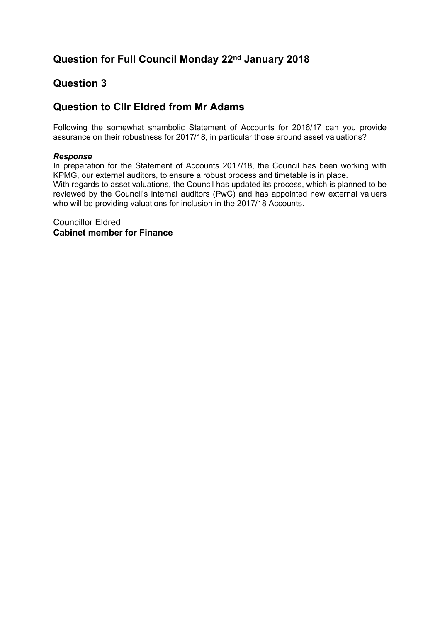## **Question 3**

### **Question to Cllr Eldred from Mr Adams**

Following the somewhat shambolic Statement of Accounts for 2016/17 can you provide assurance on their robustness for 2017/18, in particular those around asset valuations?

#### *Response*

In preparation for the Statement of Accounts 2017/18, the Council has been working with KPMG, our external auditors, to ensure a robust process and timetable is in place. With regards to asset valuations, the Council has updated its process, which is planned to be reviewed by the Council's internal auditors (PwC) and has appointed new external valuers who will be providing valuations for inclusion in the 2017/18 Accounts.

Councillor Eldred **Cabinet member for Finance**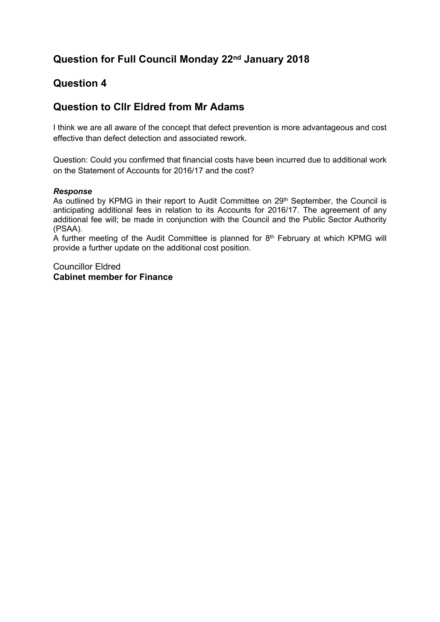### **Question 4**

### **Question to Cllr Eldred from Mr Adams**

I think we are all aware of the concept that defect prevention is more advantageous and cost effective than defect detection and associated rework.

Question: Could you confirmed that financial costs have been incurred due to additional work on the Statement of Accounts for 2016/17 and the cost?

#### *Response*

As outlined by KPMG in their report to Audit Committee on 29<sup>th</sup> September, the Council is anticipating additional fees in relation to its Accounts for 2016/17. The agreement of any additional fee will; be made in conjunction with the Council and the Public Sector Authority (PSAA).

A further meeting of the Audit Committee is planned for 8<sup>th</sup> February at which KPMG will provide a further update on the additional cost position.

Councillor Eldred **Cabinet member for Finance**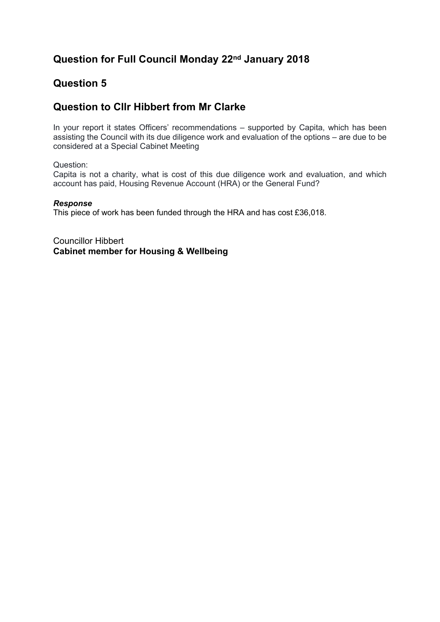### **Question 5**

### **Question to Cllr Hibbert from Mr Clarke**

In your report it states Officers' recommendations – supported by Capita, which has been assisting the Council with its due diligence work and evaluation of the options – are due to be considered at a Special Cabinet Meeting

Question:

Capita is not a charity, what is cost of this due diligence work and evaluation, and which account has paid, Housing Revenue Account (HRA) or the General Fund?

#### *Response*

This piece of work has been funded through the HRA and has cost £36,018.

Councillor Hibbert **Cabinet member for Housing & Wellbeing**